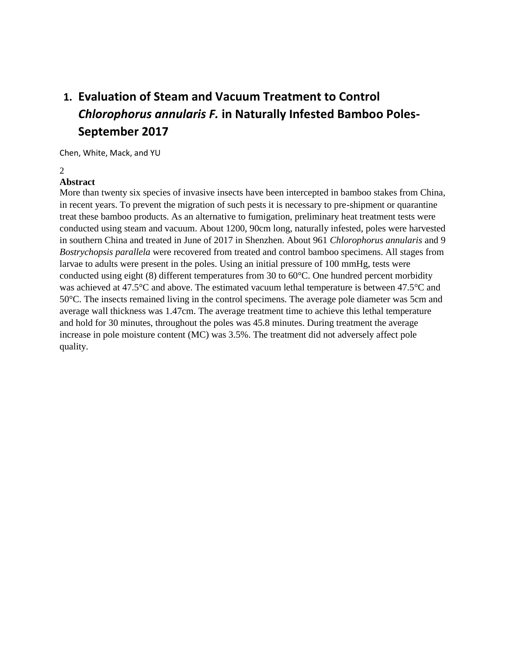# **1. Evaluation of Steam and Vacuum Treatment to Control**  *Chlorophorus annularis F.* **in Naturally Infested Bamboo Poles-September 2017**

Chen, White, Mack, and YU

#### $\mathcal{D}$

### **Abstract**

More than twenty six species of invasive insects have been intercepted in bamboo stakes from China, in recent years. To prevent the migration of such pests it is necessary to pre-shipment or quarantine treat these bamboo products. As an alternative to fumigation, preliminary heat treatment tests were conducted using steam and vacuum. About 1200, 90cm long, naturally infested, poles were harvested in southern China and treated in June of 2017 in Shenzhen. About 961 *Chlorophorus annularis* and 9 *Bostrychopsis parallela* were recovered from treated and control bamboo specimens. All stages from larvae to adults were present in the poles. Using an initial pressure of 100 mmHg, tests were conducted using eight (8) different temperatures from 30 to 60°C. One hundred percent morbidity was achieved at 47.5°C and above. The estimated vacuum lethal temperature is between 47.5°C and 50°C. The insects remained living in the control specimens. The average pole diameter was 5cm and average wall thickness was 1.47cm. The average treatment time to achieve this lethal temperature and hold for 30 minutes, throughout the poles was 45.8 minutes. During treatment the average increase in pole moisture content (MC) was 3.5%. The treatment did not adversely affect pole quality.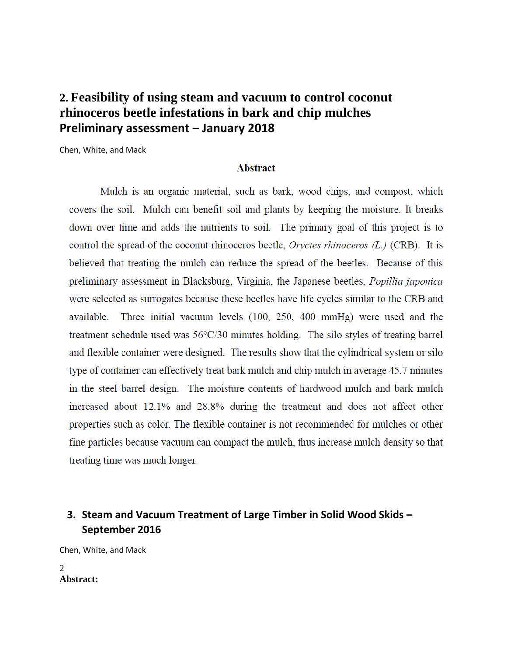# **2. Feasibility of using steam and vacuum to control coconut rhinoceros beetle infestations in bark and chip mulches Preliminary assessment – January 2018**

Chen, White, and Mack

#### **Abstract**

Mulch is an organic material, such as bark, wood chips, and compost, which covers the soil. Mulch can benefit soil and plants by keeping the moisture. It breaks down over time and adds the nutrients to soil. The primary goal of this project is to control the spread of the coconut rhinoceros beetle, *Oryctes rhinoceros*  $(L)$  (CRB). It is believed that treating the mulch can reduce the spread of the beetles. Because of this preliminary assessment in Blacksburg, Virginia, the Japanese beetles, *Popillia japonica* were selected as surrogates because these beetles have life cycles similar to the CRB and Three initial vacuum levels (100, 250, 400 mmHg) were used and the available. treatment schedule used was  $56^{\circ}$ C/30 minutes holding. The silo styles of treating barrel and flexible container were designed. The results show that the cylindrical system or silo type of container can effectively treat bark mulch and chip mulch in average 45.7 minutes in the steel barrel design. The moisture contents of hardwood mulch and bark mulch increased about 12.1% and 28.8% during the treatment and does not affect other properties such as color. The flexible container is not recommended for mulches or other fine particles because vacuum can compact the mulch, thus increase mulch density so that treating time was much longer.

## **3. Steam and Vacuum Treatment of Large Timber in Solid Wood Skids – September 2016**

Chen, White, and Mack

2 **Abstract:**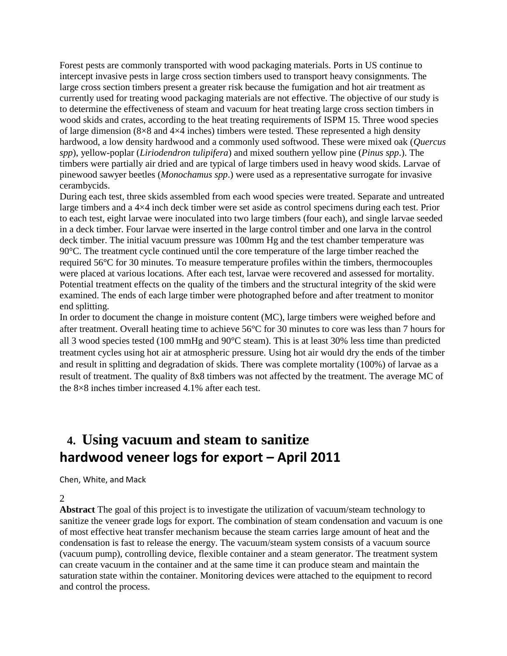Forest pests are commonly transported with wood packaging materials. Ports in US continue to intercept invasive pests in large cross section timbers used to transport heavy consignments. The large cross section timbers present a greater risk because the fumigation and hot air treatment as currently used for treating wood packaging materials are not effective. The objective of our study is to determine the effectiveness of steam and vacuum for heat treating large cross section timbers in wood skids and crates, according to the heat treating requirements of ISPM 15. Three wood species of large dimension (8×8 and 4×4 inches) timbers were tested. These represented a high density hardwood, a low density hardwood and a commonly used softwood. These were mixed oak (*Quercus spp*), yellow-poplar (*Liriodendron tulipifera*) and mixed southern yellow pine (*Pinus spp*.). The timbers were partially air dried and are typical of large timbers used in heavy wood skids. Larvae of pinewood sawyer beetles (*Monochamus spp*.) were used as a representative surrogate for invasive cerambycids.

During each test, three skids assembled from each wood species were treated. Separate and untreated large timbers and a 4×4 inch deck timber were set aside as control specimens during each test. Prior to each test, eight larvae were inoculated into two large timbers (four each), and single larvae seeded in a deck timber. Four larvae were inserted in the large control timber and one larva in the control deck timber. The initial vacuum pressure was 100mm Hg and the test chamber temperature was 90°C. The treatment cycle continued until the core temperature of the large timber reached the required 56°C for 30 minutes. To measure temperature profiles within the timbers, thermocouples were placed at various locations. After each test, larvae were recovered and assessed for mortality. Potential treatment effects on the quality of the timbers and the structural integrity of the skid were examined. The ends of each large timber were photographed before and after treatment to monitor end splitting.

In order to document the change in moisture content (MC), large timbers were weighed before and after treatment. Overall heating time to achieve 56°C for 30 minutes to core was less than 7 hours for all 3 wood species tested (100 mmHg and 90°C steam). This is at least 30% less time than predicted treatment cycles using hot air at atmospheric pressure. Using hot air would dry the ends of the timber and result in splitting and degradation of skids. There was complete mortality (100%) of larvae as a result of treatment. The quality of 8x8 timbers was not affected by the treatment. The average MC of the 8×8 inches timber increased 4.1% after each test.

# **4. Using vacuum and steam to sanitize hardwood veneer logs for export – April 2011**

Chen, White, and Mack

2

**Abstract** The goal of this project is to investigate the utilization of vacuum/steam technology to sanitize the veneer grade logs for export. The combination of steam condensation and vacuum is one of most effective heat transfer mechanism because the steam carries large amount of heat and the condensation is fast to release the energy. The vacuum/steam system consists of a vacuum source (vacuum pump), controlling device, flexible container and a steam generator. The treatment system can create vacuum in the container and at the same time it can produce steam and maintain the saturation state within the container. Monitoring devices were attached to the equipment to record and control the process.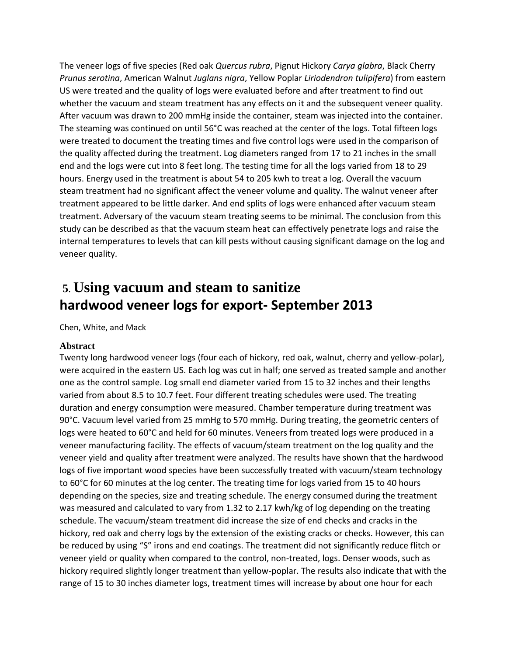The veneer logs of five species (Red oak *Quercus rubra*, Pignut Hickory *Carya glabra*, Black Cherry *Prunus serotina*, American Walnut *Juglans nigra*, Yellow Poplar *Liriodendron tulipifera*) from eastern US were treated and the quality of logs were evaluated before and after treatment to find out whether the vacuum and steam treatment has any effects on it and the subsequent veneer quality. After vacuum was drawn to 200 mmHg inside the container, steam was injected into the container. The steaming was continued on until 56°C was reached at the center of the logs. Total fifteen logs were treated to document the treating times and five control logs were used in the comparison of the quality affected during the treatment. Log diameters ranged from 17 to 21 inches in the small end and the logs were cut into 8 feet long. The testing time for all the logs varied from 18 to 29 hours. Energy used in the treatment is about 54 to 205 kwh to treat a log. Overall the vacuum steam treatment had no significant affect the veneer volume and quality. The walnut veneer after treatment appeared to be little darker. And end splits of logs were enhanced after vacuum steam treatment. Adversary of the vacuum steam treating seems to be minimal. The conclusion from this study can be described as that the vacuum steam heat can effectively penetrate logs and raise the internal temperatures to levels that can kill pests without causing significant damage on the log and veneer quality.

# **5**. **Using vacuum and steam to sanitize hardwood veneer logs for export- September 2013**

Chen, White, and Mack

#### **Abstract**

Twenty long hardwood veneer logs (four each of hickory, red oak, walnut, cherry and yellow-polar), were acquired in the eastern US. Each log was cut in half; one served as treated sample and another one as the control sample. Log small end diameter varied from 15 to 32 inches and their lengths varied from about 8.5 to 10.7 feet. Four different treating schedules were used. The treating duration and energy consumption were measured. Chamber temperature during treatment was 90°C. Vacuum level varied from 25 mmHg to 570 mmHg. During treating, the geometric centers of logs were heated to 60°C and held for 60 minutes. Veneers from treated logs were produced in a veneer manufacturing facility. The effects of vacuum/steam treatment on the log quality and the veneer yield and quality after treatment were analyzed. The results have shown that the hardwood logs of five important wood species have been successfully treated with vacuum/steam technology to 60°C for 60 minutes at the log center. The treating time for logs varied from 15 to 40 hours depending on the species, size and treating schedule. The energy consumed during the treatment was measured and calculated to vary from 1.32 to 2.17 kwh/kg of log depending on the treating schedule. The vacuum/steam treatment did increase the size of end checks and cracks in the hickory, red oak and cherry logs by the extension of the existing cracks or checks. However, this can be reduced by using "S" irons and end coatings. The treatment did not significantly reduce flitch or veneer yield or quality when compared to the control, non-treated, logs. Denser woods, such as hickory required slightly longer treatment than yellow-poplar. The results also indicate that with the range of 15 to 30 inches diameter logs, treatment times will increase by about one hour for each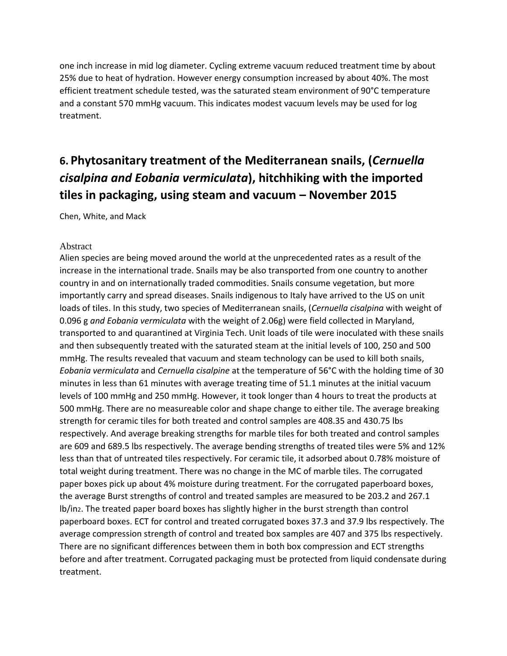one inch increase in mid log diameter. Cycling extreme vacuum reduced treatment time by about 25% due to heat of hydration. However energy consumption increased by about 40%. The most efficient treatment schedule tested, was the saturated steam environment of 90°C temperature and a constant 570 mmHg vacuum. This indicates modest vacuum levels may be used for log treatment.

# **6. Phytosanitary treatment of the Mediterranean snails, (***Cernuella cisalpina and Eobania vermiculata***), hitchhiking with the imported tiles in packaging, using steam and vacuum – November 2015**

Chen, White, and Mack

#### Abstract

Alien species are being moved around the world at the unprecedented rates as a result of the increase in the international trade. Snails may be also transported from one country to another country in and on internationally traded commodities. Snails consume vegetation, but more importantly carry and spread diseases. Snails indigenous to Italy have arrived to the US on unit loads of tiles. In this study, two species of Mediterranean snails, (*Cernuella cisalpina* with weight of 0.096 g *and Eobania vermiculata* with the weight of 2.06g) were field collected in Maryland, transported to and quarantined at Virginia Tech. Unit loads of tile were inoculated with these snails and then subsequently treated with the saturated steam at the initial levels of 100, 250 and 500 mmHg. The results revealed that vacuum and steam technology can be used to kill both snails, *Eobania vermiculata* and *Cernuella cisalpine* at the temperature of 56°C with the holding time of 30 minutes in less than 61 minutes with average treating time of 51.1 minutes at the initial vacuum levels of 100 mmHg and 250 mmHg. However, it took longer than 4 hours to treat the products at 500 mmHg. There are no measureable color and shape change to either tile. The average breaking strength for ceramic tiles for both treated and control samples are 408.35 and 430.75 lbs respectively. And average breaking strengths for marble tiles for both treated and control samples are 609 and 689.5 lbs respectively. The average bending strengths of treated tiles were 5% and 12% less than that of untreated tiles respectively. For ceramic tile, it adsorbed about 0.78% moisture of total weight during treatment. There was no change in the MC of marble tiles. The corrugated paper boxes pick up about 4% moisture during treatment. For the corrugated paperboard boxes, the average Burst strengths of control and treated samples are measured to be 203.2 and 267.1 lb/in2. The treated paper board boxes has slightly higher in the burst strength than control paperboard boxes. ECT for control and treated corrugated boxes 37.3 and 37.9 lbs respectively. The average compression strength of control and treated box samples are 407 and 375 lbs respectively. There are no significant differences between them in both box compression and ECT strengths before and after treatment. Corrugated packaging must be protected from liquid condensate during treatment.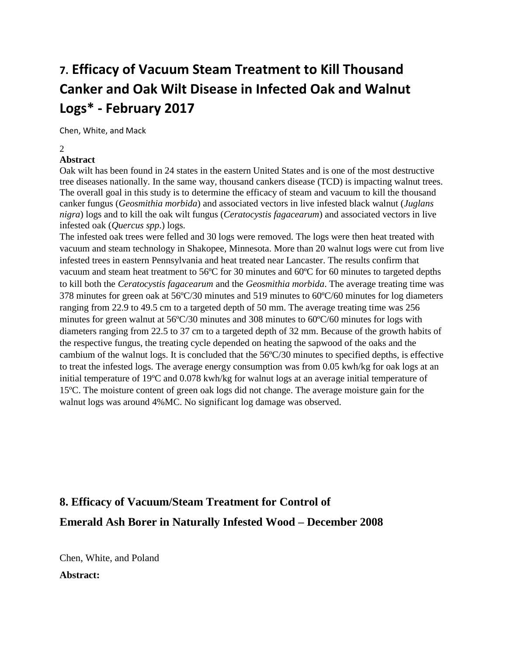# **7. Efficacy of Vacuum Steam Treatment to Kill Thousand Canker and Oak Wilt Disease in Infected Oak and Walnut Logs\* - February 2017**

Chen, White, and Mack

2

### **Abstract**

Oak wilt has been found in 24 states in the eastern United States and is one of the most destructive tree diseases nationally. In the same way, thousand cankers disease (TCD) is impacting walnut trees. The overall goal in this study is to determine the efficacy of steam and vacuum to kill the thousand canker fungus (*Geosmithia morbida*) and associated vectors in live infested black walnut (*Juglans nigra*) logs and to kill the oak wilt fungus (*Ceratocystis fagacearum*) and associated vectors in live infested oak (*Quercus spp*.) logs.

The infested oak trees were felled and 30 logs were removed. The logs were then heat treated with vacuum and steam technology in Shakopee, Minnesota. More than 20 walnut logs were cut from live infested trees in eastern Pennsylvania and heat treated near Lancaster. The results confirm that vacuum and steam heat treatment to 56ºC for 30 minutes and 60ºC for 60 minutes to targeted depths to kill both the *Ceratocystis fagacearum* and the *Geosmithia morbida*. The average treating time was 378 minutes for green oak at 56ºC/30 minutes and 519 minutes to 60ºC/60 minutes for log diameters ranging from 22.9 to 49.5 cm to a targeted depth of 50 mm. The average treating time was 256 minutes for green walnut at 56ºC/30 minutes and 308 minutes to 60ºC/60 minutes for logs with diameters ranging from 22.5 to 37 cm to a targeted depth of 32 mm. Because of the growth habits of the respective fungus, the treating cycle depended on heating the sapwood of the oaks and the cambium of the walnut logs. It is concluded that the 56ºC/30 minutes to specified depths, is effective to treat the infested logs. The average energy consumption was from 0.05 kwh/kg for oak logs at an initial temperature of 19ºC and 0.078 kwh/kg for walnut logs at an average initial temperature of 15ºC. The moisture content of green oak logs did not change. The average moisture gain for the walnut logs was around 4%MC. No significant log damage was observed.

# **8. Efficacy of Vacuum/Steam Treatment for Control of Emerald Ash Borer in Naturally Infested Wood – December 2008**

Chen, White, and Poland **Abstract:**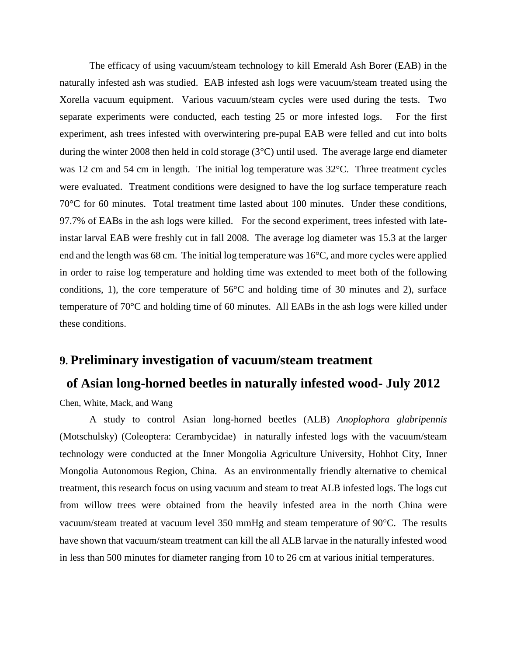The efficacy of using vacuum/steam technology to kill Emerald Ash Borer (EAB) in the naturally infested ash was studied. EAB infested ash logs were vacuum/steam treated using the Xorella vacuum equipment. Various vacuum/steam cycles were used during the tests. Two separate experiments were conducted, each testing 25 or more infested logs. For the first experiment, ash trees infested with overwintering pre-pupal EAB were felled and cut into bolts during the winter 2008 then held in cold storage  $(3^{\circ}C)$  until used. The average large end diameter was 12 cm and 54 cm in length. The initial log temperature was 32°C. Three treatment cycles were evaluated. Treatment conditions were designed to have the log surface temperature reach 70°C for 60 minutes. Total treatment time lasted about 100 minutes. Under these conditions, 97.7% of EABs in the ash logs were killed. For the second experiment, trees infested with lateinstar larval EAB were freshly cut in fall 2008. The average log diameter was 15.3 at the larger end and the length was 68 cm. The initial log temperature was 16°C, and more cycles were applied in order to raise log temperature and holding time was extended to meet both of the following conditions, 1), the core temperature of  $56^{\circ}$ C and holding time of 30 minutes and 2), surface temperature of 70°C and holding time of 60 minutes. All EABs in the ash logs were killed under these conditions.

## **9. Preliminary investigation of vacuum/steam treatment**

### **of Asian long-horned beetles in naturally infested wood- July 2012**

Chen, White, Mack, and Wang

A study to control Asian long-horned beetles (ALB) *Anoplophora glabripennis* (Motschulsky) (Coleoptera: Cerambycidae) in naturally infested logs with the vacuum/steam technology were conducted at the Inner Mongolia Agriculture University, Hohhot City, Inner Mongolia Autonomous Region, China. As an environmentally friendly alternative to chemical treatment, this research focus on using vacuum and steam to treat ALB infested logs. The logs cut from willow trees were obtained from the heavily infested area in the north China were vacuum/steam treated at vacuum level 350 mmHg and steam temperature of 90°C. The results have shown that vacuum/steam treatment can kill the all ALB larvae in the naturally infested wood in less than 500 minutes for diameter ranging from 10 to 26 cm at various initial temperatures.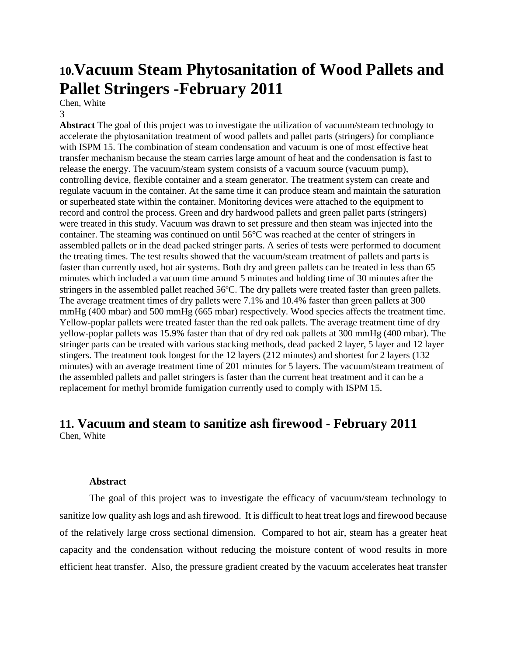# **10.Vacuum Steam Phytosanitation of Wood Pallets and Pallet Stringers -February 2011**

Chen, White

3

**Abstract** The goal of this project was to investigate the utilization of vacuum/steam technology to accelerate the phytosanitation treatment of wood pallets and pallet parts (stringers) for compliance with ISPM 15. The combination of steam condensation and vacuum is one of most effective heat transfer mechanism because the steam carries large amount of heat and the condensation is fast to release the energy. The vacuum/steam system consists of a vacuum source (vacuum pump), controlling device, flexible container and a steam generator. The treatment system can create and regulate vacuum in the container. At the same time it can produce steam and maintain the saturation or superheated state within the container. Monitoring devices were attached to the equipment to record and control the process. Green and dry hardwood pallets and green pallet parts (stringers) were treated in this study. Vacuum was drawn to set pressure and then steam was injected into the container. The steaming was continued on until 56°C was reached at the center of stringers in assembled pallets or in the dead packed stringer parts. A series of tests were performed to document the treating times. The test results showed that the vacuum/steam treatment of pallets and parts is faster than currently used, hot air systems. Both dry and green pallets can be treated in less than 65 minutes which included a vacuum time around 5 minutes and holding time of 30 minutes after the stringers in the assembled pallet reached 56ºC. The dry pallets were treated faster than green pallets. The average treatment times of dry pallets were 7.1% and 10.4% faster than green pallets at 300 mmHg (400 mbar) and 500 mmHg (665 mbar) respectively. Wood species affects the treatment time. Yellow-poplar pallets were treated faster than the red oak pallets. The average treatment time of dry yellow-poplar pallets was 15.9% faster than that of dry red oak pallets at 300 mmHg (400 mbar). The stringer parts can be treated with various stacking methods, dead packed 2 layer, 5 layer and 12 layer stingers. The treatment took longest for the 12 layers (212 minutes) and shortest for 2 layers (132 minutes) with an average treatment time of 201 minutes for 5 layers. The vacuum/steam treatment of the assembled pallets and pallet stringers is faster than the current heat treatment and it can be a replacement for methyl bromide fumigation currently used to comply with ISPM 15.

## **11. Vacuum and steam to sanitize ash firewood - February 2011** Chen, White

#### **Abstract**

The goal of this project was to investigate the efficacy of vacuum/steam technology to sanitize low quality ash logs and ash firewood. It is difficult to heat treat logs and firewood because of the relatively large cross sectional dimension. Compared to hot air, steam has a greater heat capacity and the condensation without reducing the moisture content of wood results in more efficient heat transfer. Also, the pressure gradient created by the vacuum accelerates heat transfer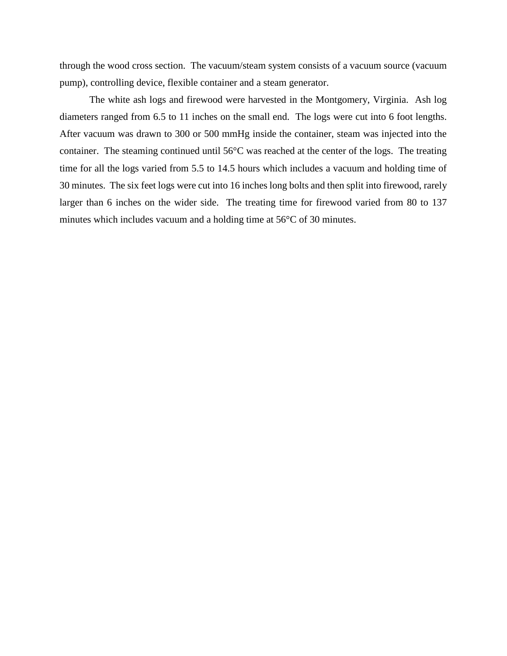through the wood cross section. The vacuum/steam system consists of a vacuum source (vacuum pump), controlling device, flexible container and a steam generator.

The white ash logs and firewood were harvested in the Montgomery, Virginia. Ash log diameters ranged from 6.5 to 11 inches on the small end. The logs were cut into 6 foot lengths. After vacuum was drawn to 300 or 500 mmHg inside the container, steam was injected into the container. The steaming continued until 56°C was reached at the center of the logs. The treating time for all the logs varied from 5.5 to 14.5 hours which includes a vacuum and holding time of 30 minutes. The six feet logs were cut into 16 inches long bolts and then split into firewood, rarely larger than 6 inches on the wider side. The treating time for firewood varied from 80 to 137 minutes which includes vacuum and a holding time at 56°C of 30 minutes.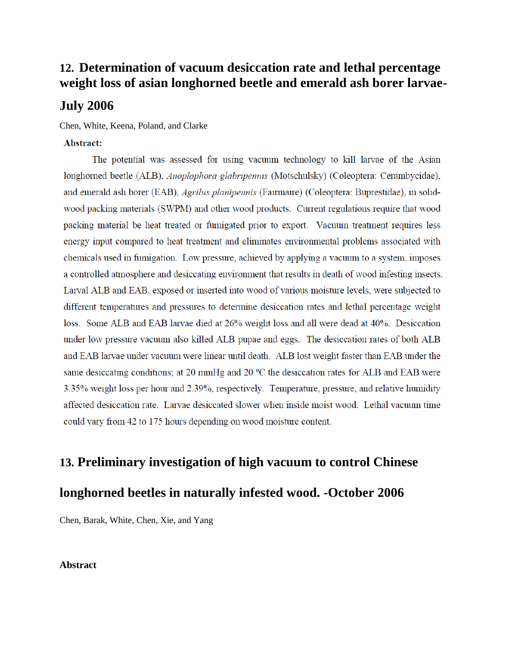# **12. Determination of vacuum desiccation rate and lethal percentage weight loss of asian longhorned beetle and emerald ash borer larvae-**

## **July 2006**

Chen, White, Keena, Poland, and Clarke

#### Abstract:

The potential was assessed for using vacuum technology to kill larvae of the Asian longhorned beetle (ALB), Anoplophora glabripennis (Motschulsky) (Coleoptera: Cerambycidae), and emerald ash borer (EAB), *Agrilus planipennis* (Fairmaire) (Coleoptera: Buprestidae), in solidwood packing materials (SWPM) and other wood products. Current regulations require that wood packing material be heat treated or fumigated prior to export. Vacuum treatment requires less energy input compared to heat treatment and eliminates environmental problems associated with chemicals used in fumigation. Low pressure, achieved by applying a vacuum to a system, imposes a controlled atmosphere and desiccating environment that results in death of wood infesting insects. Larval ALB and EAB, exposed or inserted into wood of various moisture levels, were subjected to different temperatures and pressures to determine desiccation rates and lethal percentage weight loss. Some ALB and EAB larvae died at 26% weight loss and all were dead at 40%. Desiccation under low pressure vacuum also killed ALB pupae and eggs. The desiccation rates of both ALB and EAB larvae under vacuum were linear until death. ALB lost weight faster than EAB under the same desiccating conditions; at 20 mmHg and 20 °C the desiccation rates for ALB and EAB were 3.35% weight loss per hour and 2.39%, respectively. Temperature, pressure, and relative humidity affected desiccation rate. Larvae desiccated slower when inside moist wood. Lethal vacuum time could vary from 42 to 175 hours depending on wood moisture content.

## **13. Preliminary investigation of high vacuum to control Chinese**

## **longhorned beetles in naturally infested wood. -October 2006**

Chen, Barak, White, Chen, Xie, and Yang

### **Abstract**